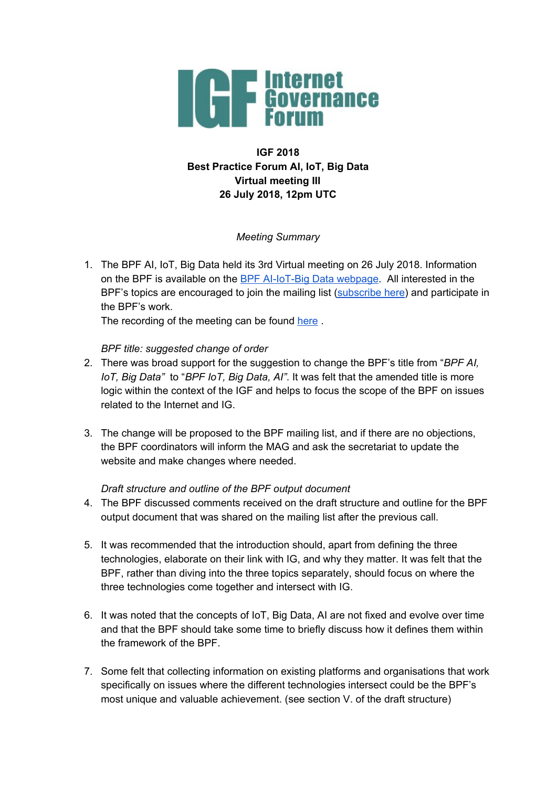

# **IGF 2018 Best Practice Forum AI, IoT, Big Data Virtual meeting III 26 July 2018, 12pm UTC**

## *Meeting Summary*

1. The BPF AI, IoT, Big Data held its 3rd Virtual meeting on 26 July 2018. Information on the BPF is available on the BPF [AI-IoT-Big](https://www.intgovforum.org/multilingual/content/bpf-artificial-intelligence-ai-internet-of-things-iot-and-big-data) Data webpage. All interested in the BPF's topics are encouraged to join the mailing list [\(subscribe](https://intgovforum.org/mailman/listinfo/aiiotbd_intgovforum.org) here) and participate in the BPF's work.

The recording of the meeting can be found [here](https://intgovforum.webex.com/intgovforum/ldr.php?RCID=bae858e84d6492cafd06acf1611b3bbf).

## *BPF title: suggested change of order*

- 2. There was broad support for the suggestion to change the BPF's title from "*BPF AI, IoT, Big Data"* to "*BPF IoT, Big Data, AI"*. It was felt that the amended title is more logic within the context of the IGF and helps to focus the scope of the BPF on issues related to the Internet and IG.
- 3. The change will be proposed to the BPF mailing list, and if there are no objections, the BPF coordinators will inform the MAG and ask the secretariat to update the website and make changes where needed.

## *Draft structure and outline of the BPF output document*

- 4. The BPF discussed comments received on the draft structure and outline for the BPF output document that was shared on the mailing list after the previous call.
- 5. It was recommended that the introduction should, apart from defining the three technologies, elaborate on their link with IG, and why they matter. It was felt that the BPF, rather than diving into the three topics separately, should focus on where the three technologies come together and intersect with IG.
- 6. It was noted that the concepts of IoT, Big Data, AI are not fixed and evolve over time and that the BPF should take some time to briefly discuss how it defines them within the framework of the BPF.
- 7. Some felt that collecting information on existing platforms and organisations that work specifically on issues where the different technologies intersect could be the BPF's most unique and valuable achievement. (see section V. of the draft structure)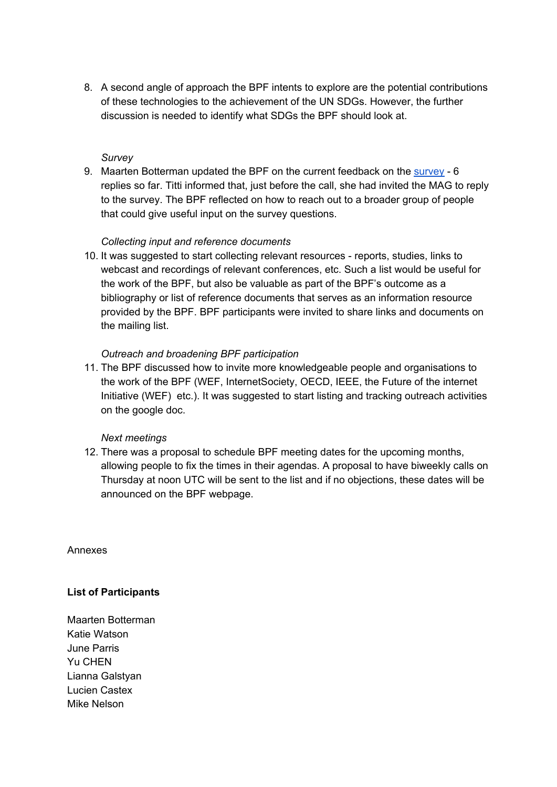8. A second angle of approach the BPF intents to explore are the potential contributions of these technologies to the achievement of the UN SDGs. However, the further discussion is needed to identify what SDGs the BPF should look at.

### *Survey*

9. Maarten Botterman updated the BPF on the current feedback on the [survey](https://www.surveymonkey.com/r/IGF-BPF-AI-IOT-BIGDATA) - 6 replies so far. Titti informed that, just before the call, she had invited the MAG to reply to the survey. The BPF reflected on how to reach out to a broader group of people that could give useful input on the survey questions.

### *Collecting input and reference documents*

10. It was suggested to start collecting relevant resources - reports, studies, links to webcast and recordings of relevant conferences, etc. Such a list would be useful for the work of the BPF, but also be valuable as part of the BPF's outcome as a bibliography or list of reference documents that serves as an information resource provided by the BPF. BPF participants were invited to share links and documents on the mailing list.

## *Outreach and broadening BPF participation*

11. The BPF discussed how to invite more knowledgeable people and organisations to the work of the BPF (WEF, InternetSociety, OECD, IEEE, the Future of the internet Initiative (WEF) etc.). It was suggested to start listing and tracking outreach activities on the google doc.

### *Next meetings*

12. There was a proposal to schedule BPF meeting dates for the upcoming months, allowing people to fix the times in their agendas. A proposal to have biweekly calls on Thursday at noon UTC will be sent to the list and if no objections, these dates will be announced on the BPF webpage.

Annexes

### **List of Participants**

Maarten Botterman Katie Watson June Parris Yu CHEN Lianna Galstyan Lucien Castex Mike Nelson